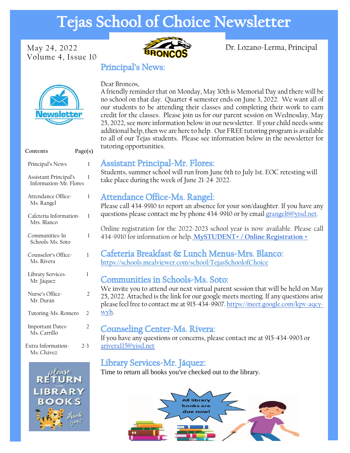# **Tejas School of Choice Newsletter**

Volume 4, Issue 10



May 24, 2022 **Property** Dr. Lozano-Lerma, Principal

# **News**

| Contents                                        | Page(s)        |
|-------------------------------------------------|----------------|
| Principal's News                                | 1              |
| Assistant Principal's<br>Information-Mr. Flores | 1              |
| Attendance Office-<br>Ms. Rangel                | 1              |
| Cafeteria Information-<br>Mrs. Blanco           | 1              |
| Communities-In<br>Schools-Ms. Soto              | 1              |
| Counselor's Office-<br>Ms. Rivera               | 1              |
| Library Services-<br>Mr. Jáquez                 | 1              |
| Nurse's Office-<br>Mr. Durán                    | 2              |
| Tutoring-Ms. Romero                             | 2              |
| Important Dates-<br>Ms. Carrillo                | $\overline{2}$ |
| Extra Information-                              | 2-3            |



Ms. Chávez

#### Dear Broncos,

**Principal's News:** 

A friendly reminder that on Monday, May 30th is Memorial Day and there will be no school on that day. Quarter 4 semester ends on June 3, 2022. We want all of our students to be attending their classes and completing their work to earn credit for the classes. Please join us for our parent session on Wednesday, May 25, 2022, see more information below in our newsletter. If your child needs some additional help, then we are here to help. Our FREE tutoring program is available to all of our Tejas students. Please see information below in the newsletter for tutoring opportunities.

# **Assistant Principal-Mr. Flores:**

Students, summer school will run from June 6th to July 1st. EOC retesting will take place during the week of June 21-24, 2022.

# Attendance Office-Ms. Rangel:

Please call 434-9910 to report an absence for your son/daughter. If you have any questions please contact me by phone 434-9910 or by email [grangel6@yisd.net.](mailto:grangel6@yisd.net)

Online registration for the 2022-2023 school year is now available. Please call 434-9910 for information or help. **[MySTUDENT+ / Online Registration +](https://www.yisd.net/Page/16172)**

### Cafeteria Breakfast & Lunch Menus-Mrs. Blanco: <https://schools.mealviewer.com/school/TejasSchoolofChoice>

# **Communities in Schools-Ms. Soto:**

We invite you to attend our next virtual parent session that will be held on May 25, 2022. Attached is the link for our google meets meeting. If any questions arise please feel free to contact me at 915-434-9907. [https://meet.google.com/kpv-aqcy](https://meet.google.com/kpv-aqcy-wyh)[wyh.](https://meet.google.com/kpv-aqcy-wyh)

# **Counseling Center-Ms. Rivera:**

If you have any questions or concerns, please contact me at 915-434-9903 or [arivera115@yisd.net](mailto:arivera115@yisd.net)

# Library Services-Mr. Jáquez:

Time to return all books you've checked out to the library.

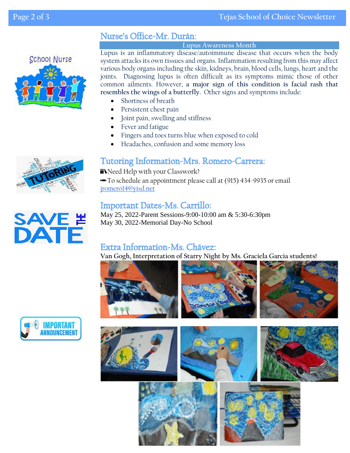# Nurse's Office-Mr. Durán:

#### **Lupus Awareness Month**

Lupus is an inflammatory disease/autoimmune disease that occurs when the body system attacks its own tissues and organs. Inflammation resulting from this may affect various body organs including the skin, kidneys, brain, blood cells, lungs, heart and the joints. Diagnosing lupus is often difficult as its symptoms mimic those of other common ailments. However, **a major sign of this condition is facial rash that resembles the wings of a butterfly.** Other signs and symptoms include:

- Shortness of breath
- Persistent chest pain
- Joint pain, swelling and stiffness
- Fever and fatigue
- Fingers and toes turns blue when exposed to cold
- Headaches, confusion and some memory loss

# **Tutoring Information-Mrs. Romero-Carrera:**

**N**Need Help with your Classwork? ✏️To schedule an appointment please call at (915) 434-9935 or email [jromero14@yisd.net](mailto:jromero14@yisd.net)

# **Important Dates-Ms. Carrillo:**

May 25, 2022-Parent Sessions-9:00-10:00 am & 5:30-6:30pm May 30, 2022-Memorial Day-No School

# Extra Information-Ms. Chávez:

**Van Gogh, Interpretation of Starry Night by Ms. Graciela Garcia students!**